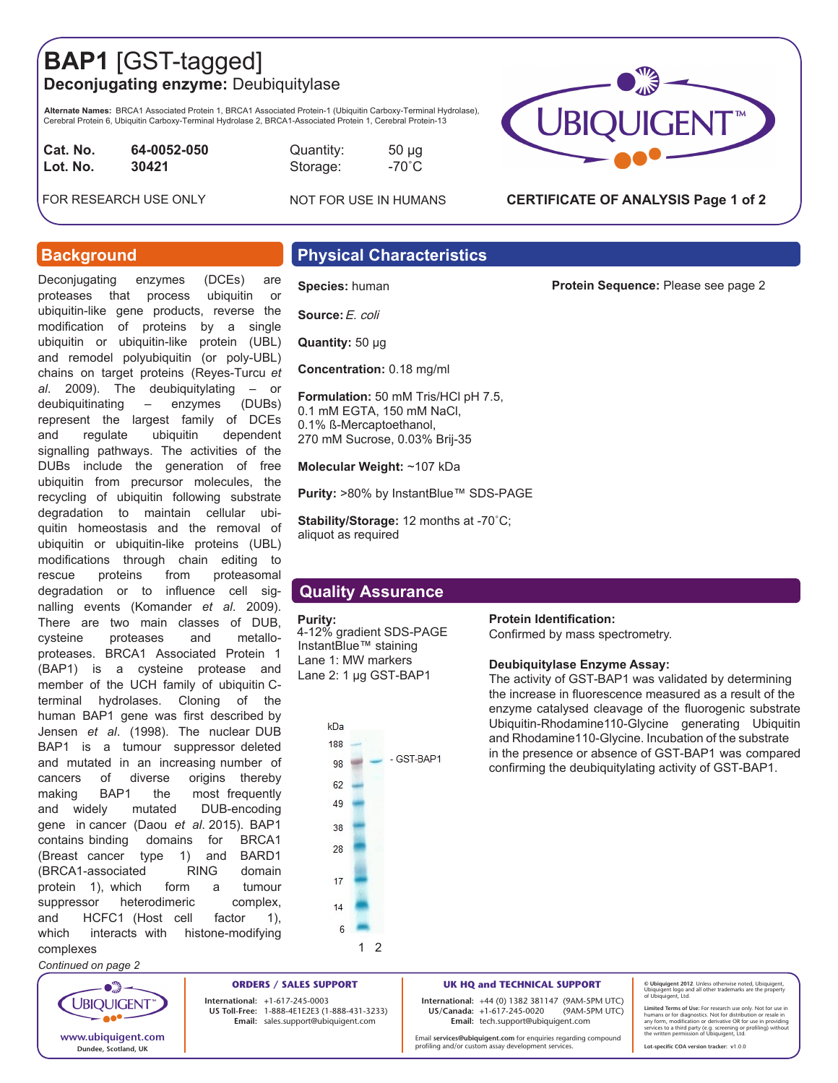## **BAP1** [GST-tagged] **Deconjugating enzyme:** Deubiquitylase

**Alternate Names:** BRCA1 Associated Protein 1, BRCA1 Associated Protein-1 (Ubiquitin Carboxy-Terminal Hydrolase),<br>Cerebral Protein 6, Ubiquitin Carboxy-Terminal Hydrolase 2, BRCA1-Associated Protein 1, Cerebral Protein-13

**Cat. No.** 64-0052-050 **Quantity:** 50 µg **Lot. No.**

NOT FOR USE IN HUMANS

FOR RESEARCH USE ONLY

Deconjugating enzymes (DCEs) are proteases that process ubiquitin or ubiquitin-like gene products, reverse the modification of proteins by a single ubiquitin or ubiquitin-like protein (UBL) and remodel polyubiquitin (or poly-UBL) chains on target proteins (Reyes-Turcu *et al*. 2009). The deubiquitylating – or deubiquitinating – enzymes (DUBs) represent the largest family of DCEs and regulate ubiquitin dependent signalling pathways. The activities of the DUBs include the generation of free ubiquitin from precursor molecules, the recycling of ubiquitin following substrate degradation to maintain cellular ubiquitin homeostasis and the removal of ubiquitin or ubiquitin-like proteins (UBL) modifications through chain editing to rescue proteins from proteasomal degradation or to influence cell signalling events (Komander *et al*. 2009). There are two main classes of DUB, cysteine proteases and metalloproteases. BRCA1 Associated Protein 1 (BAP1) is a cysteine protease and member of the UCH family of ubiquitin Cterminal hydrolases. Cloning of the human BAP1 gene was first described by Jensen *et al*. (1998). The nuclear DUB BAP1 is a tumour suppressor deleted and mutated in an increasing number of cancers of diverse origins thereby making BAP1 the most frequently and widely mutated DUB-encoding gene in cancer (Daou *et al*. 2015). BAP1 contains binding domains for BRCA1 (Breast cancer type 1) and BARD1 (BRCA1-associated RING domain protein 1), which form a tumour suppressor heterodimeric complex, and HCFC1 (Host cell factor 1), which interacts with histone-modifying

**Background** 

## **Physical Characteristics**

### **Species:** human

**Source:**E. coli

**Quantity:** 50 μg

**Concentration:** 0.18 mg/ml

**Formulation:** 50 mM Tris/HCl pH 7.5, 0.1 mM EGTA, 150 mM NaCl, 0.1% ß-Mercaptoethanol, 270 mM Sucrose, 0.03% Brij-35

**Molecular Weight:** ~107 kDa

**Purity:** >80% by InstantBlue™ SDS-PAGE

**Stability/Storage:** 12 months at -70˚C; aliquot as required

### **Quality Assurance**

### **Purity:**

4-12% gradient SDS-PAGE InstantBlue™ staining Lane 1: MW markers Lane 2: 1 µg GST-BAP1

**Protein Identification:** 

Confirmed by mass spectrometry.

### **Deubiquitylase Enzyme Assay:**

The activity of GST-BAP1 was validated by determining the increase in fluorescence measured as a result of the enzyme catalysed cleavage of the fluorogenic substrate Ubiquitin-Rhodamine110-Glycine generating Ubiquitin and Rhodamine110-Glycine. Incubation of the substrate in the presence or absence of GST-BAP1 was compared confirming the deubiquitylating activity of GST-BAP1.

**UBIQUIGENT** ae\* **www.ubiquigent.com Dundee, Scotland, UK**

complexes *Continued on page 2*

> **ORDERS / SALES SUPPORT International: +**1-617-245-0003 **US Toll-Free:** 1-888-4E1E2E3 (1-888-431-3233) **Email:** sales.support@ubiquigent.com

**UK HQ and TECHNICAL SUPPORT**

**International:** +44 (0) 1382 381147 (9AM-5PM UTC) **US/Canada:** +1-617-245-0020 **Email:** tech.support@ubiquigent.com

Email **services@ubiquigent.com** for enquiries regarding compound profiling and/or custom assay development services.

**© Ubiquigent 2012**. Unless otherwise noted, Ubiquigent, Ubiquigent logo and all other trademarks are the property of Ubiquigent, Ltd.

Limited Terms of Use: For research use only. Not for use in<br>humans or for diagnostics. Not for distribution or resale in<br>any form, modification or derivative OR for use in providing<br>services to a third party (e.g. screenin

**Lot-specific COA version tracker: v**1.0.0





**CERTIFICATE OF ANALYSIS Page 1 of 2**

# **Protein Sequence:** Please see page 2

**30421** Storage: -70˚C